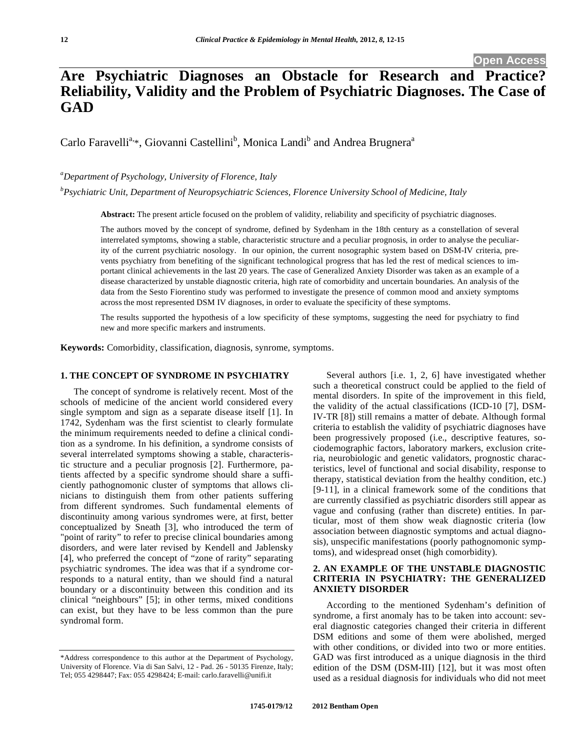# **Are Psychiatric Diagnoses an Obstacle for Research and Practice? Reliability, Validity and the Problem of Psychiatric Diagnoses. The Case of GAD**

Carlo Faravelli<sup>a,\*</sup>, Giovanni Castellini<sup>b</sup>, Monica Landi<sup>b</sup> and Andrea Brugnera<sup>a</sup>

*a Department of Psychology, University of Florence, Italy* 

*b Psychiatric Unit, Department of Neuropsychiatric Sciences, Florence University School of Medicine, Italy* 

**Abstract:** The present article focused on the problem of validity, reliability and specificity of psychiatric diagnoses.

The authors moved by the concept of syndrome, defined by Sydenham in the 18th century as a constellation of several interrelated symptoms, showing a stable, characteristic structure and a peculiar prognosis, in order to analyse the peculiarity of the current psychiatric nosology. In our opinion, the current nosographic system based on DSM-IV criteria, prevents psychiatry from benefiting of the significant technological progress that has led the rest of medical sciences to important clinical achievements in the last 20 years. The case of Generalized Anxiety Disorder was taken as an example of a disease characterized by unstable diagnostic criteria, high rate of comorbidity and uncertain boundaries. An analysis of the data from the Sesto Fiorentino study was performed to investigate the presence of common mood and anxiety symptoms across the most represented DSM IV diagnoses, in order to evaluate the specificity of these symptoms.

The results supported the hypothesis of a low specificity of these symptoms, suggesting the need for psychiatry to find new and more specific markers and instruments.

**Keywords:** Comorbidity, classification, diagnosis, synrome, symptoms.

# **1. THE CONCEPT OF SYNDROME IN PSYCHIATRY**

The concept of syndrome is relatively recent. Most of the schools of medicine of the ancient world considered every single symptom and sign as a separate disease itself [1]. In 1742, Sydenham was the first scientist to clearly formulate the minimum requirements needed to define a clinical condition as a syndrome. In his definition, a syndrome consists of several interrelated symptoms showing a stable, characteristic structure and a peculiar prognosis [2]. Furthermore, patients affected by a specific syndrome should share a sufficiently pathognomonic cluster of symptoms that allows clinicians to distinguish them from other patients suffering from different syndromes. Such fundamental elements of discontinuity among various syndromes were, at first, better conceptualized by Sneath [3], who introduced the term of "point of rarity" to refer to precise clinical boundaries among disorders, and were later revised by Kendell and Jablensky [4], who preferred the concept of "zone of rarity" separating psychiatric syndromes. The idea was that if a syndrome corresponds to a natural entity, than we should find a natural boundary or a discontinuity between this condition and its clinical "neighbours" [5]; in other terms, mixed conditions can exist, but they have to be less common than the pure syndromal form.

Several authors [i.e. 1, 2, 6] have investigated whether such a theoretical construct could be applied to the field of mental disorders. In spite of the improvement in this field, the validity of the actual classifications (ICD-10 [7], DSM-IV-TR [8]) still remains a matter of debate. Although formal criteria to establish the validity of psychiatric diagnoses have been progressively proposed (i.e., descriptive features, sociodemographic factors, laboratory markers, exclusion criteria, neurobiologic and genetic validators, prognostic characteristics, level of functional and social disability, response to therapy, statistical deviation from the healthy condition, etc.) [9-11], in a clinical framework some of the conditions that are currently classified as psychiatric disorders still appear as vague and confusing (rather than discrete) entities. In particular, most of them show weak diagnostic criteria (low association between diagnostic symptoms and actual diagnosis), unspecific manifestations (poorly pathognomonic symptoms), and widespread onset (high comorbidity).

# **2. AN EXAMPLE OF THE UNSTABLE DIAGNOSTIC CRITERIA IN PSYCHIATRY: THE GENERALIZED ANXIETY DISORDER**

According to the mentioned Sydenham's definition of syndrome, a first anomaly has to be taken into account: several diagnostic categories changed their criteria in different DSM editions and some of them were abolished, merged with other conditions, or divided into two or more entities. GAD was first introduced as a unique diagnosis in the third edition of the DSM (DSM-III) [12], but it was most often used as a residual diagnosis for individuals who did not meet

<sup>\*</sup>Address correspondence to this author at the Department of Psychology, University of Florence. Via di San Salvi, 12 - Pad. 26 - 50135 Firenze, Italy; Tel; 055 4298447; Fax: 055 4298424; E-mail: carlo.faravelli@unifi.it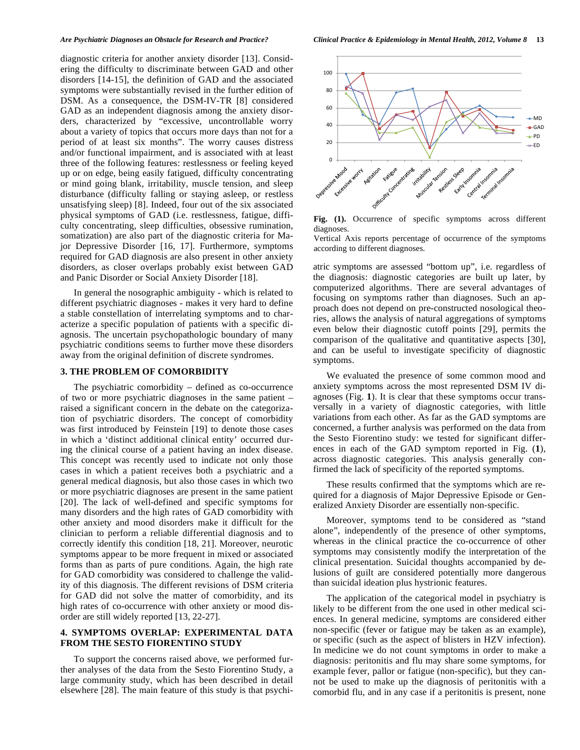diagnostic criteria for another anxiety disorder [13]. Considering the difficulty to discriminate between GAD and other disorders [14-15], the definition of GAD and the associated symptoms were substantially revised in the further edition of DSM. As a consequence, the DSM-IV-TR [8] considered GAD as an independent diagnosis among the anxiety disorders, characterized by "excessive, uncontrollable worry about a variety of topics that occurs more days than not for a period of at least six months". The worry causes distress and/or functional impairment, and is associated with at least three of the following features: restlessness or feeling keyed up or on edge, being easily fatigued, difficulty concentrating or mind going blank, irritability, muscle tension, and sleep disturbance (difficulty falling or staying asleep, or restless unsatisfying sleep) [8]. Indeed, four out of the six associated physical symptoms of GAD (i.e. restlessness, fatigue, difficulty concentrating, sleep difficulties, obsessive rumination, somatization) are also part of the diagnostic criteria for Major Depressive Disorder [16, 17]. Furthermore, symptoms required for GAD diagnosis are also present in other anxiety disorders, as closer overlaps probably exist between GAD and Panic Disorder or Social Anxiety Disorder [18].

In general the nosographic ambiguity - which is related to different psychiatric diagnoses - makes it very hard to define a stable constellation of interrelating symptoms and to characterize a specific population of patients with a specific diagnosis. The uncertain psychopathologic boundary of many psychiatric conditions seems to further move these disorders away from the original definition of discrete syndromes.

#### **3. THE PROBLEM OF COMORBIDITY**

The psychiatric comorbidity – defined as co-occurrence of two or more psychiatric diagnoses in the same patient – raised a significant concern in the debate on the categorization of psychiatric disorders. The concept of comorbidity was first introduced by Feinstein [19] to denote those cases in which a 'distinct additional clinical entity' occurred during the clinical course of a patient having an index disease. This concept was recently used to indicate not only those cases in which a patient receives both a psychiatric and a general medical diagnosis, but also those cases in which two or more psychiatric diagnoses are present in the same patient [20]. The lack of well-defined and specific symptoms for many disorders and the high rates of GAD comorbidity with other anxiety and mood disorders make it difficult for the clinician to perform a reliable differential diagnosis and to correctly identify this condition [18, 21]. Moreover, neurotic symptoms appear to be more frequent in mixed or associated forms than as parts of pure conditions. Again, the high rate for GAD comorbidity was considered to challenge the validity of this diagnosis. The different revisions of DSM criteria for GAD did not solve the matter of comorbidity, and its high rates of co-occurrence with other anxiety or mood disorder are still widely reported [13, 22-27].

# **4. SYMPTOMS OVERLAP: EXPERIMENTAL DATA FROM THE SESTO FIORENTINO STUDY**

To support the concerns raised above, we performed further analyses of the data from the Sesto Fiorentino Study, a large community study, which has been described in detail elsewhere [28]. The main feature of this study is that psychi-



**Fig. (1).** Occurrence of specific symptoms across different diagnoses.

Vertical Axis reports percentage of occurrence of the symptoms according to different diagnoses.

atric symptoms are assessed "bottom up", i.e. regardless of the diagnosis: diagnostic categories are built up later, by computerized algorithms. There are several advantages of focusing on symptoms rather than diagnoses. Such an approach does not depend on pre-constructed nosological theories, allows the analysis of natural aggregations of symptoms even below their diagnostic cutoff points [29], permits the comparison of the qualitative and quantitative aspects [30], and can be useful to investigate specificity of diagnostic symptoms.

We evaluated the presence of some common mood and anxiety symptoms across the most represented DSM IV diagnoses (Fig. **1**). It is clear that these symptoms occur transversally in a variety of diagnostic categories, with little variations from each other. As far as the GAD symptoms are concerned, a further analysis was performed on the data from the Sesto Fiorentino study: we tested for significant differences in each of the GAD symptom reported in Fig. (**1**), across diagnostic categories. This analysis generally confirmed the lack of specificity of the reported symptoms.

These results confirmed that the symptoms which are required for a diagnosis of Major Depressive Episode or Generalized Anxiety Disorder are essentially non-specific.

Moreover, symptoms tend to be considered as "stand alone", independently of the presence of other symptoms, whereas in the clinical practice the co-occurrence of other symptoms may consistently modify the interpretation of the clinical presentation. Suicidal thoughts accompanied by delusions of guilt are considered potentially more dangerous than suicidal ideation plus hystrionic features.

The application of the categorical model in psychiatry is likely to be different from the one used in other medical sciences. In general medicine, symptoms are considered either non-specific (fever or fatigue may be taken as an example), or specific (such as the aspect of blisters in HZV infection). In medicine we do not count symptoms in order to make a diagnosis: peritonitis and flu may share some symptoms, for example fever, pallor or fatigue (non-specific), but they cannot be used to make up the diagnosis of peritonitis with a comorbid flu, and in any case if a peritonitis is present, none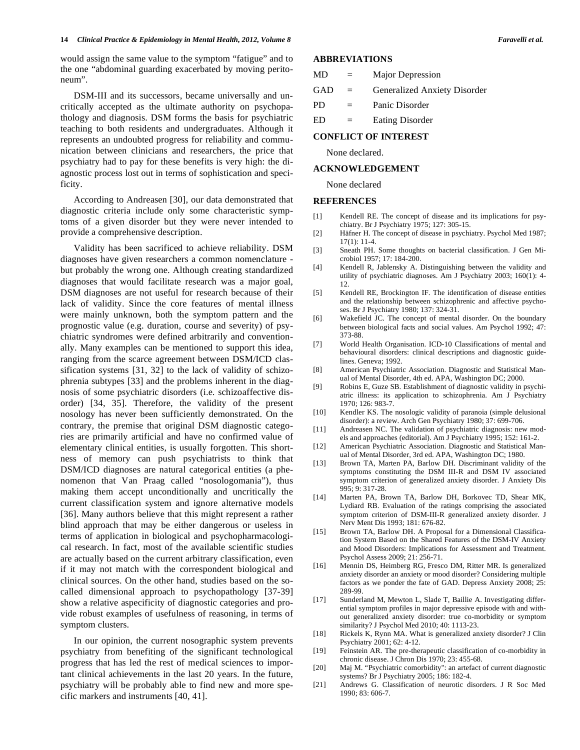would assign the same value to the symptom "fatigue" and to the one "abdominal guarding exacerbated by moving peritoneum".

DSM-III and its successors, became universally and uncritically accepted as the ultimate authority on psychopathology and diagnosis. DSM forms the basis for psychiatric teaching to both residents and undergraduates. Although it represents an undoubted progress for reliability and communication between clinicians and researchers, the price that psychiatry had to pay for these benefits is very high: the diagnostic process lost out in terms of sophistication and specificity.

According to Andreasen [30], our data demonstrated that diagnostic criteria include only some characteristic symptoms of a given disorder but they were never intended to provide a comprehensive description.

Validity has been sacrificed to achieve reliability. DSM diagnoses have given researchers a common nomenclature but probably the wrong one. Although creating standardized diagnoses that would facilitate research was a major goal, DSM diagnoses are not useful for research because of their lack of validity. Since the core features of mental illness were mainly unknown, both the symptom pattern and the prognostic value (e.g. duration, course and severity) of psychiatric syndromes were defined arbitrarily and conventionally. Many examples can be mentioned to support this idea, ranging from the scarce agreement between DSM/ICD classification systems [31, 32] to the lack of validity of schizophrenia subtypes [33] and the problems inherent in the diagnosis of some psychiatric disorders (i.e. schizoaffective disorder) [34, 35]. Therefore, the validity of the present nosology has never been sufficiently demonstrated. On the contrary, the premise that original DSM diagnostic categories are primarily artificial and have no confirmed value of elementary clinical entities, is usually forgotten. This shortness of memory can push psychiatrists to think that DSM/ICD diagnoses are natural categorical entities (a phenomenon that Van Praag called "nosologomania"), thus making them accept unconditionally and uncritically the current classification system and ignore alternative models [36]. Many authors believe that this might represent a rather blind approach that may be either dangerous or useless in terms of application in biological and psychopharmacological research. In fact, most of the available scientific studies are actually based on the current arbitrary classification, even if it may not match with the correspondent biological and clinical sources. On the other hand, studies based on the socalled dimensional approach to psychopathology [37-39] show a relative aspecificity of diagnostic categories and provide robust examples of usefulness of reasoning, in terms of symptom clusters.

In our opinion, the current nosographic system prevents psychiatry from benefiting of the significant technological progress that has led the rest of medical sciences to important clinical achievements in the last 20 years. In the future, psychiatry will be probably able to find new and more specific markers and instruments [40, 41].

# **ABBREVIATIONS**

| <b>MD</b> | $=$ | Major Depression             |
|-----------|-----|------------------------------|
| GAD       | $=$ | Generalized Anxiety Disorder |
| PD.       | $=$ | Panic Disorder               |
| ED        | $=$ | Eating Disorder              |

### **CONFLICT OF INTEREST**

None declared.

# **ACKNOWLEDGEMENT**

None declared

#### **REFERENCES**

- [1] Kendell RE. The concept of disease and its implications for psychiatry. Br J Psychiatry 1975; 127: 305-15.
- [2] Häfner H. The concept of disease in psychiatry. Psychol Med 1987; 17(1): 11-4.
- [3] Sneath PH. Some thoughts on bacterial classification. J Gen Microbiol 1957; 17: 184-200.
- [4] Kendell R, Jablensky A. Distinguishing between the validity and utility of psychiatric diagnoses. Am J Psychiatry 2003; 160(1): 4- 12.
- [5] Kendell RE, Brockington IF. The identification of disease entities and the relationship between schizophrenic and affective psychoses. Br J Psychiatry 1980; 137: 324-31.
- [6] Wakefield JC. The concept of mental disorder. On the boundary between biological facts and social values. Am Psychol 1992; 47: 373-88.
- [7] World Health Organisation. ICD-10 Classifications of mental and behavioural disorders: clinical descriptions and diagnostic guidelines. Geneva; 1992.
- [8] American Psychiatric Association. Diagnostic and Statistical Manual of Mental Disorder, 4th ed. APA, Washington DC; 2000.
- [9] Robins E, Guze SB. Establishment of diagnostic validity in psychiatric illness: its application to schizophrenia. Am J Psychiatry 1970; 126: 983-7.
- [10] Kendler KS. The nosologic validity of paranoia (simple delusional disorder): a review. Arch Gen Psychiatry 1980; 37: 699-706.
- [11] Andreasen NC. The validation of psychiatric diagnosis: new models and approaches (editorial). Am J Psychiatry 1995; 152: 161-2.
- [12] American Psychiatric Association. Diagnostic and Statistical Manual of Mental Disorder, 3rd ed. APA, Washington DC; 1980.
- [13] Brown TA, Marten PA, Barlow DH. Discriminant validity of the symptoms constituting the DSM III-R and DSM IV associated symptom criterion of generalized anxiety disorder. J Anxiety Dis 995; 9: 317-28.
- [14] Marten PA, Brown TA, Barlow DH, Borkovec TD, Shear MK, Lydiard RB. Evaluation of the ratings comprising the associated symptom criterion of DSM-III-R generalized anxiety disorder. J Nerv Ment Dis 1993; 181: 676-82.
- [15] Brown TA, Barlow DH. A Proposal for a Dimensional Classification System Based on the Shared Features of the DSM-IV Anxiety and Mood Disorders: Implications for Assessment and Treatment. Psychol Assess 2009; 21: 256-71.
- [16] Mennin DS, Heimberg RG, Fresco DM, Ritter MR. Is generalized anxiety disorder an anxiety or mood disorder? Considering multiple factors as we ponder the fate of GAD. Depress Anxiety 2008; 25: 289-99.
- [17] Sunderland M, Mewton L, Slade T, Baillie A. Investigating differential symptom profiles in major depressive episode with and without generalized anxiety disorder: true co-morbidity or symptom similarity? J Psychol Med 2010; 40: 1113-23.
- [18] Rickels K, Rynn MA. What is generalized anxiety disorder? J Clin Psychiatry 2001; 62: 4-12.
- [19] Feinstein AR. The pre-therapeutic classification of co-morbidity in chronic disease. J Chron Dis 1970; 23: 455-68.
- [20] Maj M. "Psychiatric comorbidity": an artefact of current diagnostic systems? Br J Psychiatry 2005; 186: 182-4.
- [21] Andrews G. Classification of neurotic disorders. J R Soc Med 1990; 83: 606-7.